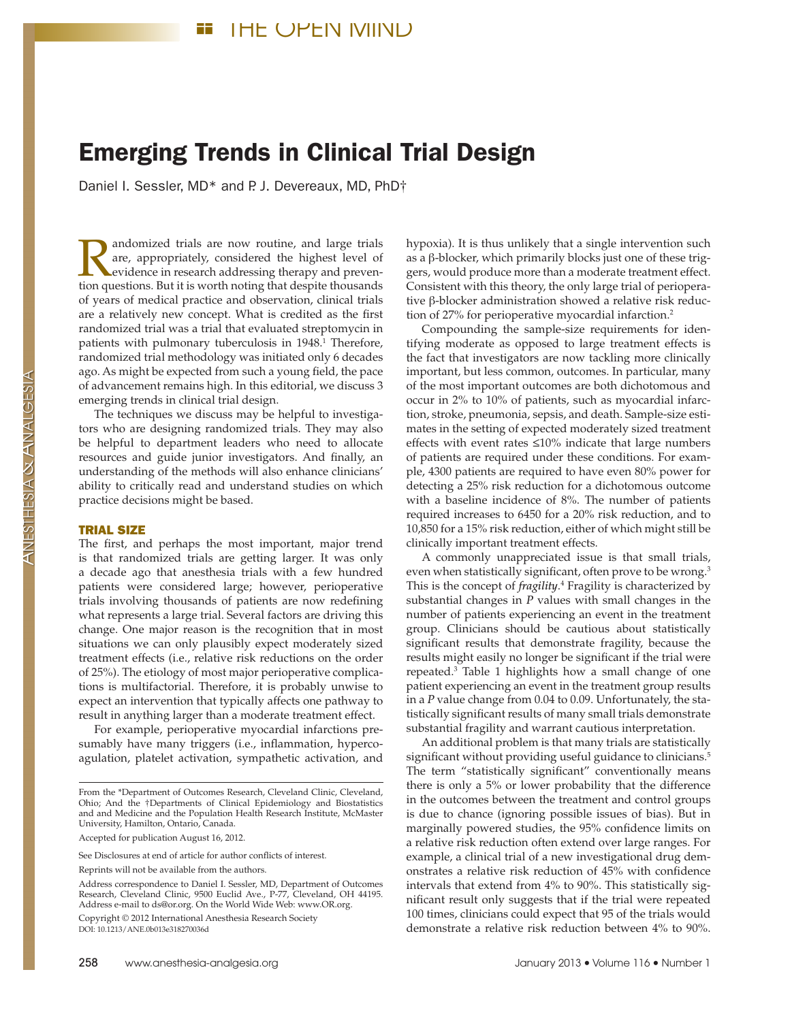# Emerging Trends in Clinical Trial Design

Daniel I. Sessler, MD<sup>\*</sup> and P. J. Devereaux, MD, PhD<sup>+</sup>

**Examplement Exercise Set All and Set All and Set All and Set All and Set All and Sevidence in research addressing therapy and prevention questions.** But it is worth noting that despite thousands are, appropriately, considered the highest level of tion questions. But it is worth noting that despite thousands of years of medical practice and observation, clinical trials are a relatively new concept. What is credited as the first randomized trial was a trial that evaluated streptomycin in patients with pulmonary tuberculosis in 1948.<sup>1</sup> Therefore, randomized trial methodology was initiated only 6 decades ago. As might be expected from such a young field, the pace of advancement remains high. In this editorial, we discuss 3 emerging trends in clinical trial design.

The techniques we discuss may be helpful to investigators who are designing randomized trials. They may also be helpful to department leaders who need to allocate resources and guide junior investigators. And finally, an understanding of the methods will also enhance clinicians' ability to critically read and understand studies on which practice decisions might be based.

#### TRIAL SIZE

The first, and perhaps the most important, major trend is that randomized trials are getting larger. It was only a decade ago that anesthesia trials with a few hundred patients were considered large; however, perioperative trials involving thousands of patients are now redefining what represents a large trial. Several factors are driving this change. One major reason is the recognition that in most situations we can only plausibly expect moderately sized treatment effects (i.e., relative risk reductions on the order of 25%). The etiology of most major perioperative complications is multifactorial. Therefore, it is probably unwise to expect an intervention that typically affects one pathway to result in anything larger than a moderate treatment effect.

For example, perioperative myocardial infarctions presumably have many triggers (i.e., inflammation, hypercoagulation, platelet activation, sympathetic activation, and

See Disclosures at end of article for author conflicts of interest.

Reprints will not be available from the authors.

hypoxia). It is thus unlikely that a single intervention such as a β-blocker, which primarily blocks just one of these triggers, would produce more than a moderate treatment effect. Consistent with this theory, the only large trial of perioperative β-blocker administration showed a relative risk reduction of 27% for perioperative myocardial infarction.2

Compounding the sample-size requirements for identifying moderate as opposed to large treatment effects is the fact that investigators are now tackling more clinically important, but less common, outcomes. In particular, many of the most important outcomes are both dichotomous and occur in 2% to 10% of patients, such as myocardial infarction, stroke, pneumonia, sepsis, and death. Sample-size estimates in the setting of expected moderately sized treatment effects with event rates ≤10% indicate that large numbers of patients are required under these conditions. For example, 4300 patients are required to have even 80% power for detecting a 25% risk reduction for a dichotomous outcome with a baseline incidence of 8%. The number of patients required increases to 6450 for a 20% risk reduction, and to 10,850 for a 15% risk reduction, either of which might still be clinically important treatment effects.

A commonly unappreciated issue is that small trials, even when statistically significant, often prove to be wrong.<sup>3</sup> This is the concept of *fragility*. 4 Fragility is characterized by substantial changes in *P* values with small changes in the number of patients experiencing an event in the treatment group. Clinicians should be cautious about statistically significant results that demonstrate fragility, because the results might easily no longer be significant if the trial were repeated.3 Table 1 highlights how a small change of one patient experiencing an event in the treatment group results in a *P* value change from 0.04 to 0.09. Unfortunately, the statistically significant results of many small trials demonstrate substantial fragility and warrant cautious interpretation.

An additional problem is that many trials are statistically significant without providing useful guidance to clinicians.<sup>5</sup> The term "statistically significant" conventionally means there is only a 5% or lower probability that the difference in the outcomes between the treatment and control groups is due to chance (ignoring possible issues of bias). But in marginally powered studies, the 95% confidence limits on a relative risk reduction often extend over large ranges. For example, a clinical trial of a new investigational drug demonstrates a relative risk reduction of 45% with confidence intervals that extend from 4% to 90%. This statistically significant result only suggests that if the trial were repeated 100 times, clinicians could expect that 95 of the trials would demonstrate a relative risk reduction between 4% to 90%.

From the \*Department of Outcomes Research, Cleveland Clinic, Cleveland, Ohio; And the †Departments of Clinical Epidemiology and Biostatistics and and Medicine and the Population Health Research Institute, McMaster University, Hamilton, Ontario, Canada.

Accepted for publication August 16, 2012.

Copyright © 2012 International Anesthesia Research Society DOI: 10.1213/ANE.0b013e318270036d Address correspondence to Daniel I. Sessler, MD, Department of Outcomes Research, Cleveland Clinic, 9500 Euclid Ave., P-77, Cleveland, OH 44195. Address e-mail to [ds@or.org.](mailto:ds@or.org) On the World Wide Web: www.OR.org.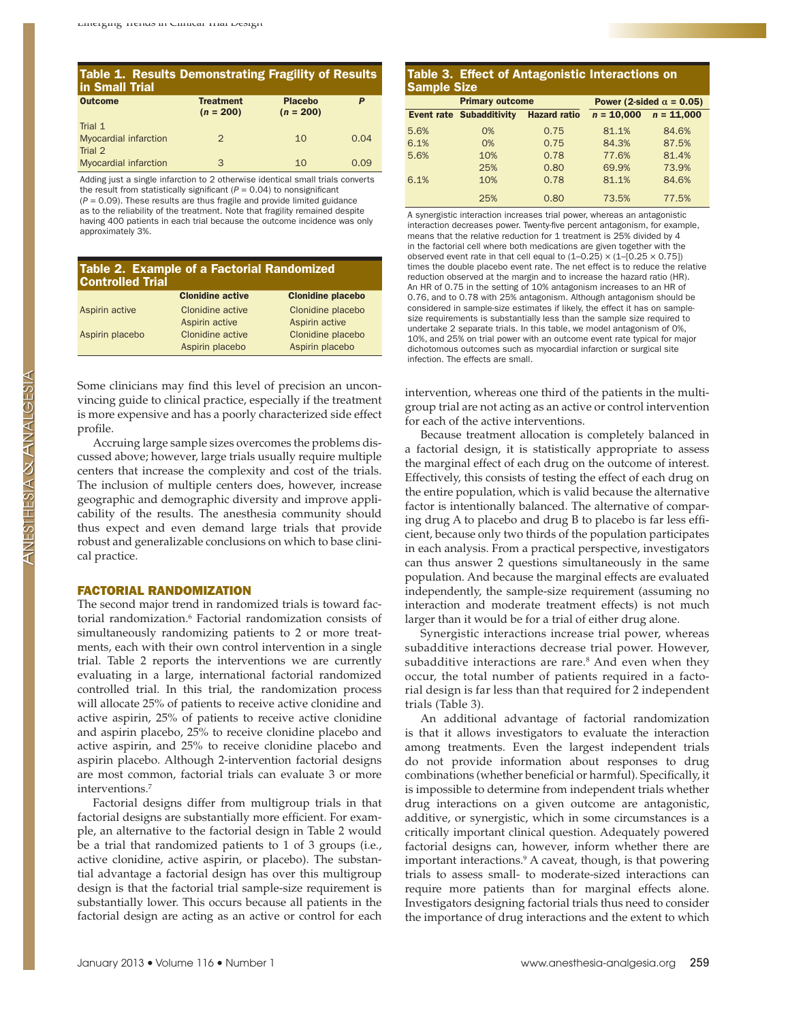#### Table 1. Results Demonstrating Fragility of Results in Small Trial

| <b>Outcome</b>                                     | <b>Treatment</b><br>$(n = 200)$ | <b>Placebo</b><br>$(n = 200)$ | P    |
|----------------------------------------------------|---------------------------------|-------------------------------|------|
| Trial 1<br><b>Myocardial infarction</b><br>Trial 2 | $\mathcal{P}$                   | 10                            | 0.04 |
| <b>Myocardial infarction</b>                       | З                               | 10                            | 0.09 |

Adding just a single infarction to 2 otherwise identical small trials converts the result from statistically significant ( $P = 0.04$ ) to nonsignificant  $(P = 0.09)$ . These results are thus fragile and provide limited guidance as to the reliability of the treatment. Note that fragility remained despite having 400 patients in each trial because the outcome incidence was only approximately 3%.

## Table 2. Example of a Factorial Randomized Controlled Trial

|                 | <b>Clonidine active</b> | <b>Clonidine placebo</b> |
|-----------------|-------------------------|--------------------------|
| Aspirin active  | <b>Clonidine active</b> | Clonidine placebo        |
|                 | Aspirin active          | Aspirin active           |
| Aspirin placebo | <b>Clonidine active</b> | Clonidine placebo        |
|                 | Aspirin placebo         | Aspirin placebo          |

Some clinicians may find this level of precision an unconvincing guide to clinical practice, especially if the treatment is more expensive and has a poorly characterized side effect profile.

Accruing large sample sizes overcomes the problems discussed above; however, large trials usually require multiple centers that increase the complexity and cost of the trials. The inclusion of multiple centers does, however, increase geographic and demographic diversity and improve applicability of the results. The anesthesia community should thus expect and even demand large trials that provide robust and generalizable conclusions on which to base clinical practice.

## FACTORIAL RANDOMIZATION

The second major trend in randomized trials is toward factorial randomization.<sup>6</sup> Factorial randomization consists of simultaneously randomizing patients to 2 or more treatments, each with their own control intervention in a single trial. Table 2 reports the interventions we are currently evaluating in a large, international factorial randomized controlled trial. In this trial, the randomization process will allocate 25% of patients to receive active clonidine and active aspirin, 25% of patients to receive active clonidine and aspirin placebo, 25% to receive clonidine placebo and active aspirin, and 25% to receive clonidine placebo and aspirin placebo. Although 2-intervention factorial designs are most common, factorial trials can evaluate 3 or more interventions.7

Factorial designs differ from multigroup trials in that factorial designs are substantially more efficient. For example, an alternative to the factorial design in Table 2 would be a trial that randomized patients to 1 of 3 groups (i.e., active clonidine, active aspirin, or placebo). The substantial advantage a factorial design has over this multigroup design is that the factorial trial sample-size requirement is substantially lower. This occurs because all patients in the factorial design are acting as an active or control for each

## Table 3. Effect of Antagonistic Interactions on Sample Size

| <b>Primary outcome</b> |                                 | Power (2-sided $\alpha = 0.05$ ) |              |              |
|------------------------|---------------------------------|----------------------------------|--------------|--------------|
|                        | <b>Event rate Subadditivity</b> | <b>Hazard ratio</b>              | $n = 10,000$ | $n = 11,000$ |
| 5.6%                   | 0%                              | 0.75                             | 81.1%        | 84.6%        |
| 6.1%                   | 0%                              | 0.75                             | 84.3%        | 87.5%        |
| 5.6%                   | 10%                             | 0.78                             | 77.6%        | 81.4%        |
|                        | 25%                             | 0.80                             | 69.9%        | 73.9%        |
| 6.1%                   | 10%                             | 0.78                             | 81.1%        | 84.6%        |
|                        | 25%                             | 0.80                             | 73.5%        | 77.5%        |

A synergistic interaction increases trial power, whereas an antagonistic interaction decreases power. Twenty-five percent antagonism, for example, means that the relative reduction for 1 treatment is 25% divided by 4 in the factorial cell where both medications are given together with the observed event rate in that cell equal to  $(1-0.25) \times (1-[0.25 \times 0.75])$ times the double placebo event rate. The net effect is to reduce the relative reduction observed at the margin and to increase the hazard ratio (HR). An HR of 0.75 in the setting of 10% antagonism increases to an HR of 0.76, and to 0.78 with 25% antagonism. Although antagonism should be considered in sample-size estimates if likely, the effect it has on samplesize requirements is substantially less than the sample size required to undertake 2 separate trials. In this table, we model antagonism of 0%, 10%, and 25% on trial power with an outcome event rate typical for major dichotomous outcomes such as myocardial infarction or surgical site infection. The effects are small.

intervention, whereas one third of the patients in the multigroup trial are not acting as an active or control intervention for each of the active interventions.

Because treatment allocation is completely balanced in a factorial design, it is statistically appropriate to assess the marginal effect of each drug on the outcome of interest. Effectively, this consists of testing the effect of each drug on the entire population, which is valid because the alternative factor is intentionally balanced. The alternative of comparing drug A to placebo and drug B to placebo is far less efficient, because only two thirds of the population participates in each analysis. From a practical perspective, investigators can thus answer 2 questions simultaneously in the same population. And because the marginal effects are evaluated independently, the sample-size requirement (assuming no interaction and moderate treatment effects) is not much larger than it would be for a trial of either drug alone.

Synergistic interactions increase trial power, whereas subadditive interactions decrease trial power. However, subadditive interactions are rare.<sup>8</sup> And even when they occur, the total number of patients required in a factorial design is far less than that required for 2 independent trials (Table 3).

An additional advantage of factorial randomization is that it allows investigators to evaluate the interaction among treatments. Even the largest independent trials do not provide information about responses to drug combinations (whether beneficial or harmful). Specifically, it is impossible to determine from independent trials whether drug interactions on a given outcome are antagonistic, additive, or synergistic, which in some circumstances is a critically important clinical question. Adequately powered factorial designs can, however, inform whether there are important interactions.<sup>9</sup> A caveat, though, is that powering trials to assess small- to moderate-sized interactions can require more patients than for marginal effects alone. Investigators designing factorial trials thus need to consider the importance of drug interactions and the extent to which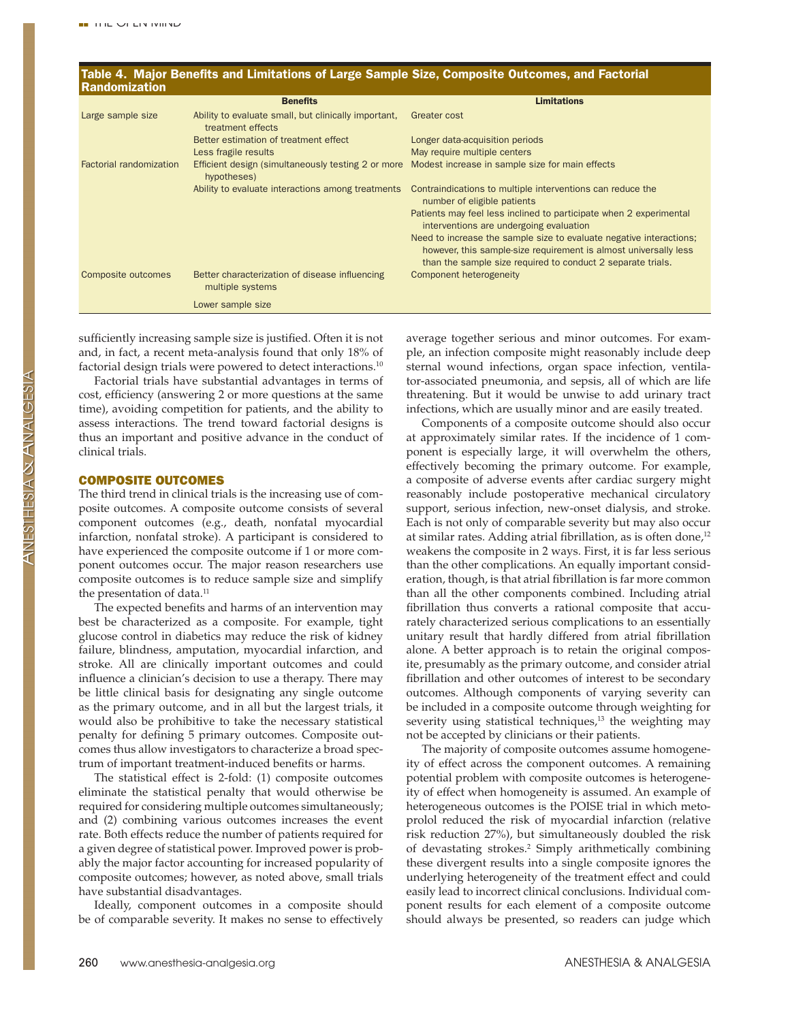### Table 4. Major Benefits and Limitations of Large Sample Size, Composite Outcomes, and Factorial Randomization

|                         | <b>Benefits</b>                                                           | <b>Limitations</b>                                                                                                                                                                                     |
|-------------------------|---------------------------------------------------------------------------|--------------------------------------------------------------------------------------------------------------------------------------------------------------------------------------------------------|
| Large sample size       | Ability to evaluate small, but clinically important,<br>treatment effects | Greater cost                                                                                                                                                                                           |
|                         | Better estimation of treatment effect                                     | Longer data-acquisition periods                                                                                                                                                                        |
|                         | Less fragile results                                                      | May require multiple centers                                                                                                                                                                           |
| Factorial randomization | Efficient design (simultaneously testing 2 or more<br>hypotheses)         | Modest increase in sample size for main effects                                                                                                                                                        |
|                         | Ability to evaluate interactions among treatments                         | Contraindications to multiple interventions can reduce the<br>number of eligible patients                                                                                                              |
|                         |                                                                           | Patients may feel less inclined to participate when 2 experimental<br>interventions are undergoing evaluation                                                                                          |
|                         |                                                                           | Need to increase the sample size to evaluate negative interactions;<br>however, this sample-size requirement is almost universally less<br>than the sample size required to conduct 2 separate trials. |
| Composite outcomes      | Better characterization of disease influencing<br>multiple systems        | Component heterogeneity                                                                                                                                                                                |
|                         | Lower sample size                                                         |                                                                                                                                                                                                        |
|                         |                                                                           |                                                                                                                                                                                                        |

sufficiently increasing sample size is justified. Often it is not and, in fact, a recent meta-analysis found that only 18% of factorial design trials were powered to detect interactions.10

Factorial trials have substantial advantages in terms of cost, efficiency (answering 2 or more questions at the same time), avoiding competition for patients, and the ability to assess interactions. The trend toward factorial designs is thus an important and positive advance in the conduct of clinical trials.

#### COMPOSITE OUTCOMES

The third trend in clinical trials is the increasing use of composite outcomes. A composite outcome consists of several component outcomes (e.g., death, nonfatal myocardial infarction, nonfatal stroke). A participant is considered to have experienced the composite outcome if 1 or more component outcomes occur. The major reason researchers use composite outcomes is to reduce sample size and simplify the presentation of data.<sup>11</sup>

The expected benefits and harms of an intervention may best be characterized as a composite. For example, tight glucose control in diabetics may reduce the risk of kidney failure, blindness, amputation, myocardial infarction, and stroke. All are clinically important outcomes and could influence a clinician's decision to use a therapy. There may be little clinical basis for designating any single outcome as the primary outcome, and in all but the largest trials, it would also be prohibitive to take the necessary statistical penalty for defining 5 primary outcomes. Composite outcomes thus allow investigators to characterize a broad spectrum of important treatment-induced benefits or harms.

The statistical effect is 2-fold: (1) composite outcomes eliminate the statistical penalty that would otherwise be required for considering multiple outcomes simultaneously; and (2) combining various outcomes increases the event rate. Both effects reduce the number of patients required for a given degree of statistical power. Improved power is probably the major factor accounting for increased popularity of composite outcomes; however, as noted above, small trials have substantial disadvantages.

Ideally, component outcomes in a composite should be of comparable severity. It makes no sense to effectively

average together serious and minor outcomes. For example, an infection composite might reasonably include deep sternal wound infections, organ space infection, ventilator-associated pneumonia, and sepsis, all of which are life threatening. But it would be unwise to add urinary tract infections, which are usually minor and are easily treated.

Components of a composite outcome should also occur at approximately similar rates. If the incidence of 1 component is especially large, it will overwhelm the others, effectively becoming the primary outcome. For example, a composite of adverse events after cardiac surgery might reasonably include postoperative mechanical circulatory support, serious infection, new-onset dialysis, and stroke. Each is not only of comparable severity but may also occur at similar rates. Adding atrial fibrillation, as is often done,<sup>12</sup> weakens the composite in 2 ways. First, it is far less serious than the other complications. An equally important consideration, though, is that atrial fibrillation is far more common than all the other components combined. Including atrial fibrillation thus converts a rational composite that accurately characterized serious complications to an essentially unitary result that hardly differed from atrial fibrillation alone. A better approach is to retain the original composite, presumably as the primary outcome, and consider atrial fibrillation and other outcomes of interest to be secondary outcomes. Although components of varying severity can be included in a composite outcome through weighting for severity using statistical techniques,<sup>13</sup> the weighting may not be accepted by clinicians or their patients.

The majority of composite outcomes assume homogeneity of effect across the component outcomes. A remaining potential problem with composite outcomes is heterogeneity of effect when homogeneity is assumed. An example of heterogeneous outcomes is the POISE trial in which metoprolol reduced the risk of myocardial infarction (relative risk reduction 27%), but simultaneously doubled the risk of devastating strokes.<sup>2</sup> Simply arithmetically combining these divergent results into a single composite ignores the underlying heterogeneity of the treatment effect and could easily lead to incorrect clinical conclusions. Individual component results for each element of a composite outcome should always be presented, so readers can judge which